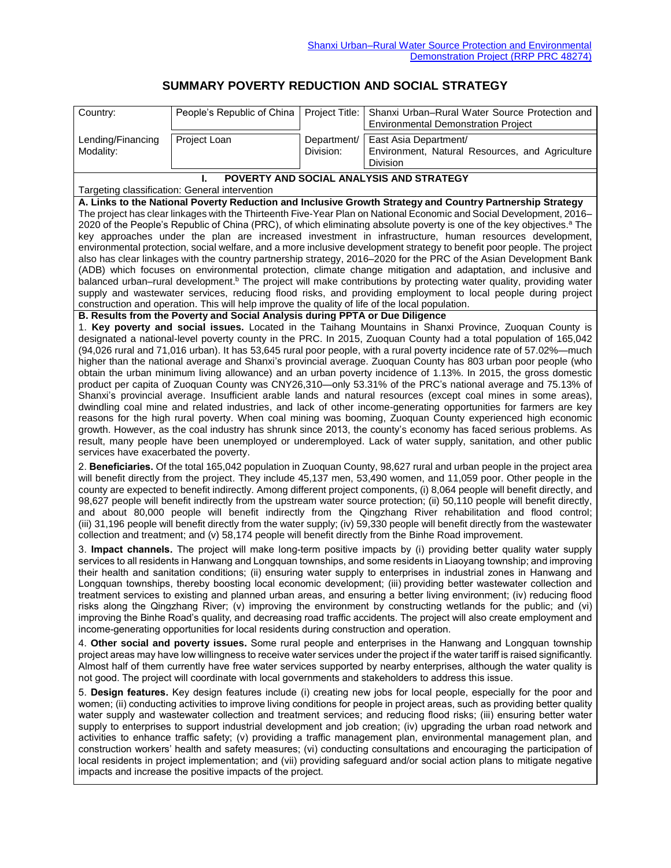## **SUMMARY POVERTY REDUCTION AND SOCIAL STRATEGY**

| Country:                                                                                                                                                                                                                                                                                                                                                                                                                                                                                                                                                                                                                                                                                                                                                                                                                                                                                                                                               | People's Republic of China                                                                      | Project Title:           | Shanxi Urban-Rural Water Source Protection and                                                                                                                                                                                                   |  |  |
|--------------------------------------------------------------------------------------------------------------------------------------------------------------------------------------------------------------------------------------------------------------------------------------------------------------------------------------------------------------------------------------------------------------------------------------------------------------------------------------------------------------------------------------------------------------------------------------------------------------------------------------------------------------------------------------------------------------------------------------------------------------------------------------------------------------------------------------------------------------------------------------------------------------------------------------------------------|-------------------------------------------------------------------------------------------------|--------------------------|--------------------------------------------------------------------------------------------------------------------------------------------------------------------------------------------------------------------------------------------------|--|--|
|                                                                                                                                                                                                                                                                                                                                                                                                                                                                                                                                                                                                                                                                                                                                                                                                                                                                                                                                                        |                                                                                                 |                          | <b>Environmental Demonstration Project</b>                                                                                                                                                                                                       |  |  |
| Lending/Financing<br>Modality:                                                                                                                                                                                                                                                                                                                                                                                                                                                                                                                                                                                                                                                                                                                                                                                                                                                                                                                         | Project Loan                                                                                    | Department/<br>Division: | East Asia Department/<br>Environment, Natural Resources, and Agriculture                                                                                                                                                                         |  |  |
|                                                                                                                                                                                                                                                                                                                                                                                                                                                                                                                                                                                                                                                                                                                                                                                                                                                                                                                                                        |                                                                                                 |                          | Division                                                                                                                                                                                                                                         |  |  |
| POVERTY AND SOCIAL ANALYSIS AND STRATEGY                                                                                                                                                                                                                                                                                                                                                                                                                                                                                                                                                                                                                                                                                                                                                                                                                                                                                                               |                                                                                                 |                          |                                                                                                                                                                                                                                                  |  |  |
| Targeting classification: General intervention                                                                                                                                                                                                                                                                                                                                                                                                                                                                                                                                                                                                                                                                                                                                                                                                                                                                                                         |                                                                                                 |                          |                                                                                                                                                                                                                                                  |  |  |
| A. Links to the National Poverty Reduction and Inclusive Growth Strategy and Country Partnership Strategy                                                                                                                                                                                                                                                                                                                                                                                                                                                                                                                                                                                                                                                                                                                                                                                                                                              |                                                                                                 |                          |                                                                                                                                                                                                                                                  |  |  |
| The project has clear linkages with the Thirteenth Five-Year Plan on National Economic and Social Development, 2016–<br>2020 of the People's Republic of China (PRC), of which eliminating absolute poverty is one of the key objectives. <sup>a</sup> The                                                                                                                                                                                                                                                                                                                                                                                                                                                                                                                                                                                                                                                                                             |                                                                                                 |                          |                                                                                                                                                                                                                                                  |  |  |
| key approaches under the plan are increased investment in infrastructure, human resources development,                                                                                                                                                                                                                                                                                                                                                                                                                                                                                                                                                                                                                                                                                                                                                                                                                                                 |                                                                                                 |                          |                                                                                                                                                                                                                                                  |  |  |
| environmental protection, social welfare, and a more inclusive development strategy to benefit poor people. The project<br>also has clear linkages with the country partnership strategy, 2016–2020 for the PRC of the Asian Development Bank                                                                                                                                                                                                                                                                                                                                                                                                                                                                                                                                                                                                                                                                                                          |                                                                                                 |                          |                                                                                                                                                                                                                                                  |  |  |
|                                                                                                                                                                                                                                                                                                                                                                                                                                                                                                                                                                                                                                                                                                                                                                                                                                                                                                                                                        |                                                                                                 |                          | (ADB) which focuses on environmental protection, climate change mitigation and adaptation, and inclusive and                                                                                                                                     |  |  |
|                                                                                                                                                                                                                                                                                                                                                                                                                                                                                                                                                                                                                                                                                                                                                                                                                                                                                                                                                        |                                                                                                 |                          | balanced urban–rural development. <sup>b</sup> The project will make contributions by protecting water quality, providing water<br>supply and wastewater services, reducing flood risks, and providing employment to local people during project |  |  |
|                                                                                                                                                                                                                                                                                                                                                                                                                                                                                                                                                                                                                                                                                                                                                                                                                                                                                                                                                        | construction and operation. This will help improve the quality of life of the local population. |                          |                                                                                                                                                                                                                                                  |  |  |
|                                                                                                                                                                                                                                                                                                                                                                                                                                                                                                                                                                                                                                                                                                                                                                                                                                                                                                                                                        | B. Results from the Poverty and Social Analysis during PPTA or Due Diligence                    |                          |                                                                                                                                                                                                                                                  |  |  |
|                                                                                                                                                                                                                                                                                                                                                                                                                                                                                                                                                                                                                                                                                                                                                                                                                                                                                                                                                        |                                                                                                 |                          | 1. Key poverty and social issues. Located in the Taihang Mountains in Shanxi Province, Zuoquan County is                                                                                                                                         |  |  |
|                                                                                                                                                                                                                                                                                                                                                                                                                                                                                                                                                                                                                                                                                                                                                                                                                                                                                                                                                        |                                                                                                 |                          | designated a national-level poverty county in the PRC. In 2015, Zuoquan County had a total population of 165,042<br>(94,026 rural and 71,016 urban). It has 53,645 rural poor people, with a rural poverty incidence rate of 57.02%—much         |  |  |
|                                                                                                                                                                                                                                                                                                                                                                                                                                                                                                                                                                                                                                                                                                                                                                                                                                                                                                                                                        |                                                                                                 |                          | higher than the national average and Shanxi's provincial average. Zuoquan County has 803 urban poor people (who                                                                                                                                  |  |  |
|                                                                                                                                                                                                                                                                                                                                                                                                                                                                                                                                                                                                                                                                                                                                                                                                                                                                                                                                                        |                                                                                                 |                          | obtain the urban minimum living allowance) and an urban poverty incidence of 1.13%. In 2015, the gross domestic                                                                                                                                  |  |  |
|                                                                                                                                                                                                                                                                                                                                                                                                                                                                                                                                                                                                                                                                                                                                                                                                                                                                                                                                                        |                                                                                                 |                          | product per capita of Zuoquan County was CNY26,310-only 53.31% of the PRC's national average and 75.13% of                                                                                                                                       |  |  |
|                                                                                                                                                                                                                                                                                                                                                                                                                                                                                                                                                                                                                                                                                                                                                                                                                                                                                                                                                        |                                                                                                 |                          | Shanxi's provincial average. Insufficient arable lands and natural resources (except coal mines in some areas),<br>dwindling coal mine and related industries, and lack of other income-generating opportunities for farmers are key             |  |  |
|                                                                                                                                                                                                                                                                                                                                                                                                                                                                                                                                                                                                                                                                                                                                                                                                                                                                                                                                                        |                                                                                                 |                          | reasons for the high rural poverty. When coal mining was booming, Zuoquan County experienced high economic                                                                                                                                       |  |  |
|                                                                                                                                                                                                                                                                                                                                                                                                                                                                                                                                                                                                                                                                                                                                                                                                                                                                                                                                                        |                                                                                                 |                          | growth. However, as the coal industry has shrunk since 2013, the county's economy has faced serious problems. As                                                                                                                                 |  |  |
| services have exacerbated the poverty.                                                                                                                                                                                                                                                                                                                                                                                                                                                                                                                                                                                                                                                                                                                                                                                                                                                                                                                 |                                                                                                 |                          | result, many people have been unemployed or underemployed. Lack of water supply, sanitation, and other public                                                                                                                                    |  |  |
|                                                                                                                                                                                                                                                                                                                                                                                                                                                                                                                                                                                                                                                                                                                                                                                                                                                                                                                                                        |                                                                                                 |                          |                                                                                                                                                                                                                                                  |  |  |
| 2. Beneficiaries. Of the total 165,042 population in Zuoquan County, 98,627 rural and urban people in the project area<br>will benefit directly from the project. They include 45,137 men, 53,490 women, and 11,059 poor. Other people in the<br>county are expected to benefit indirectly. Among different project components, (i) 8,064 people will benefit directly, and<br>98,627 people will benefit indirectly from the upstream water source protection; (ii) 50,110 people will benefit directly,<br>and about 80,000 people will benefit indirectly from the Qingzhang River rehabilitation and flood control;                                                                                                                                                                                                                                                                                                                                |                                                                                                 |                          |                                                                                                                                                                                                                                                  |  |  |
| (iii) 31,196 people will benefit directly from the water supply; (iv) 59,330 people will benefit directly from the wastewater<br>collection and treatment; and (v) 58,174 people will benefit directly from the Binhe Road improvement.                                                                                                                                                                                                                                                                                                                                                                                                                                                                                                                                                                                                                                                                                                                |                                                                                                 |                          |                                                                                                                                                                                                                                                  |  |  |
| 3. Impact channels. The project will make long-term positive impacts by (i) providing better quality water supply<br>services to all residents in Hanwang and Longquan townships, and some residents in Liaoyang township; and improving<br>their health and sanitation conditions; (ii) ensuring water supply to enterprises in industrial zones in Hanwang and<br>Longquan townships, thereby boosting local economic development; (iii) providing better wastewater collection and<br>treatment services to existing and planned urban areas, and ensuring a better living environment; (iv) reducing flood<br>risks along the Qingzhang River; (v) improving the environment by constructing wetlands for the public; and (vi)<br>improving the Binhe Road's quality, and decreasing road traffic accidents. The project will also create employment and<br>income-generating opportunities for local residents during construction and operation. |                                                                                                 |                          |                                                                                                                                                                                                                                                  |  |  |
| 4. Other social and poverty issues. Some rural people and enterprises in the Hanwang and Longquan township<br>project areas may have low willingness to receive water services under the project if the water tariff is raised significantly.<br>Almost half of them currently have free water services supported by nearby enterprises, although the water quality is<br>not good. The project will coordinate with local governments and stakeholders to address this issue.                                                                                                                                                                                                                                                                                                                                                                                                                                                                         |                                                                                                 |                          |                                                                                                                                                                                                                                                  |  |  |
| 5. Design features. Key design features include (i) creating new jobs for local people, especially for the poor and<br>women; (ii) conducting activities to improve living conditions for people in project areas, such as providing better quality<br>water supply and wastewater collection and treatment services; and reducing flood risks; (iii) ensuring better water<br>supply to enterprises to support industrial development and job creation; (iv) upgrading the urban road network and<br>activities to enhance traffic safety; (v) providing a traffic management plan, environmental management plan, and<br>construction workers' health and safety measures; (vi) conducting consultations and encouraging the participation of<br>local residents in project implementation; and (vii) providing safeguard and/or social action plans to mitigate negative<br>impacts and increase the positive impacts of the project.               |                                                                                                 |                          |                                                                                                                                                                                                                                                  |  |  |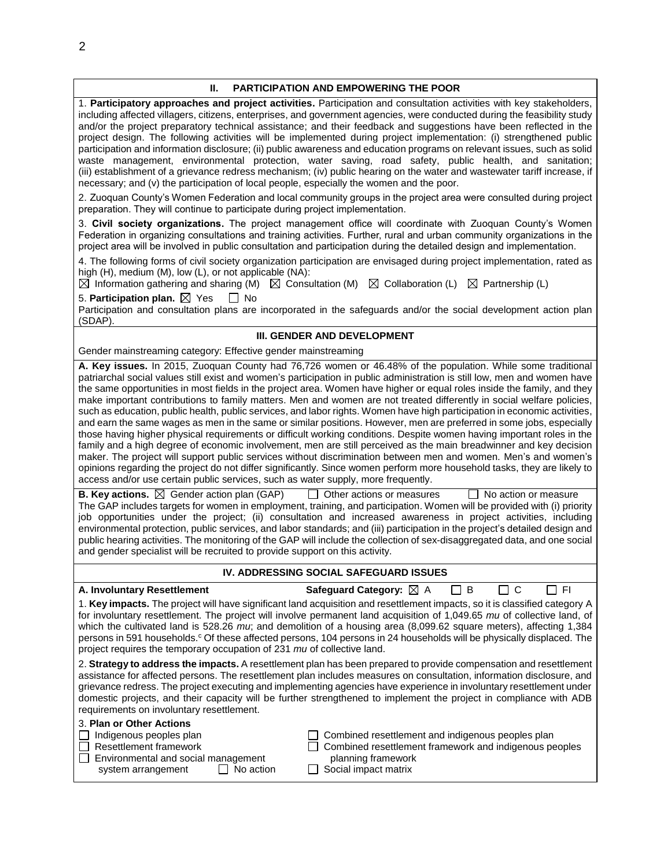| П.                                                                                                                                                                                                                                                                                                                                                                                                                                                                                                                                                                                                                                                                                                                                                                                                                                                                                                                                                                                                                                                                                                                                                                                                                                                                                                                                                                                                                                                                                                                                                                                                                                                                                                                                                                                                                                                                                                                                                                     | <b>PARTICIPATION AND EMPOWERING THE POOR</b>                                                                                                                                                                                                                                                                                                                                                                                                                                              |  |  |  |  |
|------------------------------------------------------------------------------------------------------------------------------------------------------------------------------------------------------------------------------------------------------------------------------------------------------------------------------------------------------------------------------------------------------------------------------------------------------------------------------------------------------------------------------------------------------------------------------------------------------------------------------------------------------------------------------------------------------------------------------------------------------------------------------------------------------------------------------------------------------------------------------------------------------------------------------------------------------------------------------------------------------------------------------------------------------------------------------------------------------------------------------------------------------------------------------------------------------------------------------------------------------------------------------------------------------------------------------------------------------------------------------------------------------------------------------------------------------------------------------------------------------------------------------------------------------------------------------------------------------------------------------------------------------------------------------------------------------------------------------------------------------------------------------------------------------------------------------------------------------------------------------------------------------------------------------------------------------------------------|-------------------------------------------------------------------------------------------------------------------------------------------------------------------------------------------------------------------------------------------------------------------------------------------------------------------------------------------------------------------------------------------------------------------------------------------------------------------------------------------|--|--|--|--|
| 1. Participatory approaches and project activities. Participation and consultation activities with key stakeholders,<br>including affected villagers, citizens, enterprises, and government agencies, were conducted during the feasibility study<br>and/or the project preparatory technical assistance; and their feedback and suggestions have been reflected in the<br>project design. The following activities will be implemented during project implementation: (i) strengthened public<br>participation and information disclosure; (ii) public awareness and education programs on relevant issues, such as solid<br>waste management, environmental protection, water saving, road safety, public health, and sanitation;<br>(iii) establishment of a grievance redress mechanism; (iv) public hearing on the water and wastewater tariff increase, if<br>necessary; and (v) the participation of local people, especially the women and the poor.                                                                                                                                                                                                                                                                                                                                                                                                                                                                                                                                                                                                                                                                                                                                                                                                                                                                                                                                                                                                           |                                                                                                                                                                                                                                                                                                                                                                                                                                                                                           |  |  |  |  |
| preparation. They will continue to participate during project implementation.                                                                                                                                                                                                                                                                                                                                                                                                                                                                                                                                                                                                                                                                                                                                                                                                                                                                                                                                                                                                                                                                                                                                                                                                                                                                                                                                                                                                                                                                                                                                                                                                                                                                                                                                                                                                                                                                                          | 2. Zuoquan County's Women Federation and local community groups in the project area were consulted during project                                                                                                                                                                                                                                                                                                                                                                         |  |  |  |  |
|                                                                                                                                                                                                                                                                                                                                                                                                                                                                                                                                                                                                                                                                                                                                                                                                                                                                                                                                                                                                                                                                                                                                                                                                                                                                                                                                                                                                                                                                                                                                                                                                                                                                                                                                                                                                                                                                                                                                                                        | 3. Civil society organizations. The project management office will coordinate with Zuoquan County's Women<br>Federation in organizing consultations and training activities. Further, rural and urban community organizations in the<br>project area will be involved in public consultation and participation during the detailed design and implementation.                                                                                                                             |  |  |  |  |
| high (H), medium (M), low (L), or not applicable (NA):<br>$\boxtimes$ Information gathering and sharing (M) $\boxtimes$ Consultation (M)                                                                                                                                                                                                                                                                                                                                                                                                                                                                                                                                                                                                                                                                                                                                                                                                                                                                                                                                                                                                                                                                                                                                                                                                                                                                                                                                                                                                                                                                                                                                                                                                                                                                                                                                                                                                                               | 4. The following forms of civil society organization participation are envisaged during project implementation, rated as<br>$\boxtimes$ Collaboration (L) $\boxtimes$ Partnership (L)                                                                                                                                                                                                                                                                                                     |  |  |  |  |
| 5. Participation plan. $\boxtimes$ Yes<br>l I No<br>(SDAP).                                                                                                                                                                                                                                                                                                                                                                                                                                                                                                                                                                                                                                                                                                                                                                                                                                                                                                                                                                                                                                                                                                                                                                                                                                                                                                                                                                                                                                                                                                                                                                                                                                                                                                                                                                                                                                                                                                            | Participation and consultation plans are incorporated in the safeguards and/or the social development action plan                                                                                                                                                                                                                                                                                                                                                                         |  |  |  |  |
|                                                                                                                                                                                                                                                                                                                                                                                                                                                                                                                                                                                                                                                                                                                                                                                                                                                                                                                                                                                                                                                                                                                                                                                                                                                                                                                                                                                                                                                                                                                                                                                                                                                                                                                                                                                                                                                                                                                                                                        | III. GENDER AND DEVELOPMENT                                                                                                                                                                                                                                                                                                                                                                                                                                                               |  |  |  |  |
| Gender mainstreaming category: Effective gender mainstreaming                                                                                                                                                                                                                                                                                                                                                                                                                                                                                                                                                                                                                                                                                                                                                                                                                                                                                                                                                                                                                                                                                                                                                                                                                                                                                                                                                                                                                                                                                                                                                                                                                                                                                                                                                                                                                                                                                                          |                                                                                                                                                                                                                                                                                                                                                                                                                                                                                           |  |  |  |  |
| A. Key issues. In 2015, Zuoquan County had 76,726 women or 46.48% of the population. While some traditional<br>patriarchal social values still exist and women's participation in public administration is still low, men and women have<br>the same opportunities in most fields in the project area. Women have higher or equal roles inside the family, and they<br>make important contributions to family matters. Men and women are not treated differently in social welfare policies,<br>such as education, public health, public services, and labor rights. Women have high participation in economic activities,<br>and earn the same wages as men in the same or similar positions. However, men are preferred in some jobs, especially<br>those having higher physical requirements or difficult working conditions. Despite women having important roles in the<br>family and a high degree of economic involvement, men are still perceived as the main breadwinner and key decision<br>maker. The project will support public services without discrimination between men and women. Men's and women's<br>opinions regarding the project do not differ significantly. Since women perform more household tasks, they are likely to<br>access and/or use certain public services, such as water supply, more frequently.<br><b>B. Key actions.</b> $\boxtimes$ Gender action plan (GAP)<br>Other actions or measures<br>No action or measure<br>The GAP includes targets for women in employment, training, and participation. Women will be provided with (i) priority<br>job opportunities under the project; (ii) consultation and increased awareness in project activities, including<br>environmental protection, public services, and labor standards; and (iii) participation in the project's detailed design and<br>public hearing activities. The monitoring of the GAP will include the collection of sex-disaggregated data, and one social |                                                                                                                                                                                                                                                                                                                                                                                                                                                                                           |  |  |  |  |
| and gender specialist will be recruited to provide support on this activity.<br>IV. ADDRESSING SOCIAL SAFEGUARD ISSUES                                                                                                                                                                                                                                                                                                                                                                                                                                                                                                                                                                                                                                                                                                                                                                                                                                                                                                                                                                                                                                                                                                                                                                                                                                                                                                                                                                                                                                                                                                                                                                                                                                                                                                                                                                                                                                                 |                                                                                                                                                                                                                                                                                                                                                                                                                                                                                           |  |  |  |  |
|                                                                                                                                                                                                                                                                                                                                                                                                                                                                                                                                                                                                                                                                                                                                                                                                                                                                                                                                                                                                                                                                                                                                                                                                                                                                                                                                                                                                                                                                                                                                                                                                                                                                                                                                                                                                                                                                                                                                                                        |                                                                                                                                                                                                                                                                                                                                                                                                                                                                                           |  |  |  |  |
| Safeguard Category: ⊠ A<br>C<br>] FI<br>A. Involuntary Resettlement<br>B<br>$\Box$<br>1. Key impacts. The project will have significant land acquisition and resettlement impacts, so it is classified category A<br>for involuntary resettlement. The project will involve permanent land acquisition of 1,049.65 mu of collective land, of<br>which the cultivated land is 528.26 $m\upsilon$ ; and demolition of a housing area (8,099.62 square meters), affecting 1,384<br>persons in 591 households. <sup>c</sup> Of these affected persons, 104 persons in 24 households will be physically displaced. The<br>project requires the temporary occupation of 231 mu of collective land.                                                                                                                                                                                                                                                                                                                                                                                                                                                                                                                                                                                                                                                                                                                                                                                                                                                                                                                                                                                                                                                                                                                                                                                                                                                                           |                                                                                                                                                                                                                                                                                                                                                                                                                                                                                           |  |  |  |  |
| requirements on involuntary resettlement.                                                                                                                                                                                                                                                                                                                                                                                                                                                                                                                                                                                                                                                                                                                                                                                                                                                                                                                                                                                                                                                                                                                                                                                                                                                                                                                                                                                                                                                                                                                                                                                                                                                                                                                                                                                                                                                                                                                              | 2. Strategy to address the impacts. A resettlement plan has been prepared to provide compensation and resettlement<br>assistance for affected persons. The resettlement plan includes measures on consultation, information disclosure, and<br>grievance redress. The project executing and implementing agencies have experience in involuntary resettlement under<br>domestic projects, and their capacity will be further strengthened to implement the project in compliance with ADB |  |  |  |  |
| 3. Plan or Other Actions<br>Indigenous peoples plan<br><b>Resettlement framework</b><br>Environmental and social management<br>No action<br>system arrangement<br>$\mathsf{L}$                                                                                                                                                                                                                                                                                                                                                                                                                                                                                                                                                                                                                                                                                                                                                                                                                                                                                                                                                                                                                                                                                                                                                                                                                                                                                                                                                                                                                                                                                                                                                                                                                                                                                                                                                                                         | Combined resettlement and indigenous peoples plan<br>Combined resettlement framework and indigenous peoples<br>planning framework<br>Social impact matrix                                                                                                                                                                                                                                                                                                                                 |  |  |  |  |